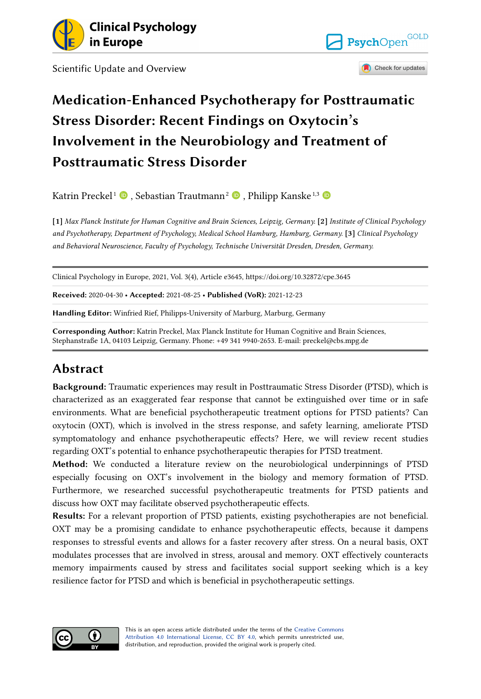

Scientific Update and Overview





# **Medication-Enhanced Psychotherapy for Posttraumatic Stress Disorder: Recent Findings on Oxytocin's Involvement in the Neurobiology and Treatment of Posttraumatic Stress Disorder**

Katrin Preckel [1](https://orcid.org/0000-0003-1498-3813) , Sebastian Trautmann<sup>2</sup> [,](https://orcid.org/0000-0002-8976-3244) Philipp Kanske 1,3

**[1]** *Max Planck Institute for Human Cognitive and Brain Sciences, Leipzig, Germany.* **[2]** *Institute of Clinical Psychology and Psychotherapy, Department of Psychology, Medical School Hamburg, Hamburg, Germany.* **[3]** *Clinical Psychology and Behavioral Neuroscience, Faculty of Psychology, Technische Universität Dresden, Dresden, Germany.* 

Clinical Psychology in Europe, 2021, Vol. 3(4), Article e3645, https://doi.org/10.32872/cpe.3645

**Received:** 2020-04-30 • **Accepted:** 2021-08-25 • **Published (VoR):** 2021-12-23

**Handling Editor:** Winfried Rief, Philipps-University of Marburg, Marburg, Germany

**Corresponding Author:** Katrin Preckel, Max Planck Institute for Human Cognitive and Brain Sciences, Stephanstraße 1A, 04103 Leipzig, Germany. Phone: +49 341 9940-2653. E-mail: preckel@cbs.mpg.de

### **Abstract**

**Background:** Traumatic experiences may result in Posttraumatic Stress Disorder (PTSD), which is characterized as an exaggerated fear response that cannot be extinguished over time or in safe environments. What are beneficial psychotherapeutic treatment options for PTSD patients? Can oxytocin (OXT), which is involved in the stress response, and safety learning, ameliorate PTSD symptomatology and enhance psychotherapeutic effects? Here, we will review recent studies regarding OXT's potential to enhance psychotherapeutic therapies for PTSD treatment.

**Method:** We conducted a literature review on the neurobiological underpinnings of PTSD especially focusing on OXT's involvement in the biology and memory formation of PTSD. Furthermore, we researched successful psychotherapeutic treatments for PTSD patients and discuss how OXT may facilitate observed psychotherapeutic effects.

**Results:** For a relevant proportion of PTSD patients, existing psychotherapies are not beneficial. OXT may be a promising candidate to enhance psychotherapeutic effects, because it dampens responses to stressful events and allows for a faster recovery after stress. On a neural basis, OXT modulates processes that are involved in stress, arousal and memory. OXT effectively counteracts memory impairments caused by stress and facilitates social support seeking which is a key resilience factor for PTSD and which is beneficial in psychotherapeutic settings.

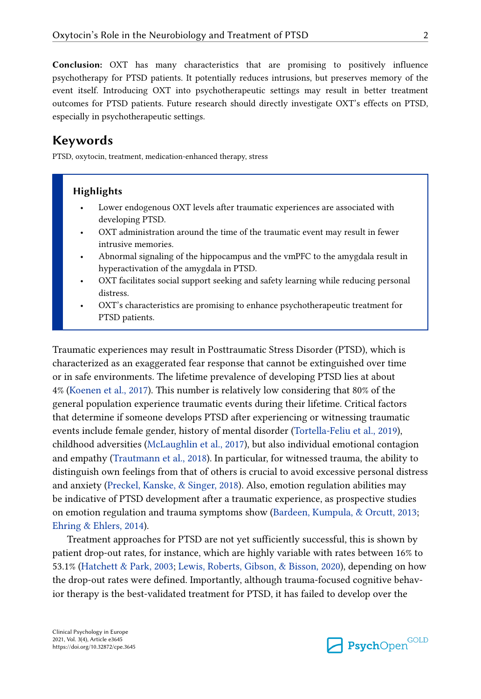**Conclusion:** OXT has many characteristics that are promising to positively influence psychotherapy for PTSD patients. It potentially reduces intrusions, but preserves memory of the event itself. Introducing OXT into psychotherapeutic settings may result in better treatment outcomes for PTSD patients. Future research should directly investigate OXT's effects on PTSD, especially in psychotherapeutic settings.

#### **Keywords**

PTSD, oxytocin, treatment, medication-enhanced therapy, stress

#### **Highlights**

- Lower endogenous OXT levels after traumatic experiences are associated with developing PTSD.
- OXT administration around the time of the traumatic event may result in fewer intrusive memories.
- Abnormal signaling of the hippocampus and the vmPFC to the amygdala result in hyperactivation of the amygdala in PTSD.
- OXT facilitates social support seeking and safety learning while reducing personal distress.
- OXT's characteristics are promising to enhance psychotherapeutic treatment for PTSD patients.

Traumatic experiences may result in Posttraumatic Stress Disorder (PTSD), which is characterized as an exaggerated fear response that cannot be extinguished over time or in safe environments. The lifetime prevalence of developing PTSD lies at about 4% ([Koenen et al., 2017\)](#page-14-0). This number is relatively low considering that 80% of the general population experience traumatic events during their lifetime. Critical factors that determine if someone develops PTSD after experiencing or witnessing traumatic events include female gender, history of mental disorder [\(Tortella-Feliu et al., 2019](#page-19-0)), childhood adversities [\(McLaughlin et al., 2017\)](#page-16-0), but also individual emotional contagion and empathy ([Trautmann et al., 2018](#page-19-0)). In particular, for witnessed trauma, the ability to distinguish own feelings from that of others is crucial to avoid excessive personal distress and anxiety [\(Preckel, Kanske, & Singer, 2018\)](#page-17-0). Also, emotion regulation abilities may be indicative of PTSD development after a traumatic experience, as prospective studies on emotion regulation and trauma symptoms show ([Bardeen, Kumpula, & Orcutt, 2013](#page-10-0); [Ehring & Ehlers, 2014\)](#page-12-0).

Treatment approaches for PTSD are not yet sufficiently successful, this is shown by patient drop-out rates, for instance, which are highly variable with rates between 16% to 53.1% [\(Hatchett & Park, 2003;](#page-13-0) [Lewis, Roberts, Gibson, & Bisson, 2020](#page-15-0)), depending on how the drop-out rates were defined. Importantly, although trauma‐focused cognitive behavior therapy is the best-validated treatment for PTSD, it has failed to develop over the

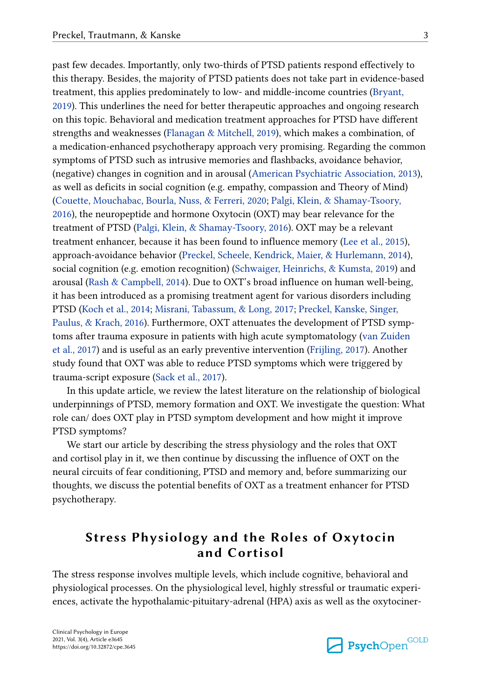past few decades. Importantly, only two‐thirds of PTSD patients respond effectively to this therapy. Besides, the majority of PTSD patients does not take part in evidence‐based treatment, this applies predominately to low‐ and middle‐income countries ([Bryant,](#page-11-0)  [2019\)](#page-11-0). This underlines the need for better therapeutic approaches and ongoing research on this topic. Behavioral and medication treatment approaches for PTSD have different strengths and weaknesses [\(Flanagan & Mitchell, 2019](#page-13-0)), which makes a combination, of a medication-enhanced psychotherapy approach very promising. Regarding the common symptoms of PTSD such as intrusive memories and flashbacks, avoidance behavior, (negative) changes in cognition and in arousal ([American Psychiatric Association, 2013](#page-10-0)), as well as deficits in social cognition (e.g. empathy, compassion and Theory of Mind) [\(Couette, Mouchabac, Bourla, Nuss, & Ferreri, 2020](#page-11-0); [Palgi, Klein, & Shamay-Tsoory,](#page-16-0) [2016\)](#page-16-0), the neuropeptide and hormone Oxytocin (OXT) may bear relevance for the treatment of PTSD ([Palgi, Klein, & Shamay-Tsoory, 2016](#page-16-0)). OXT may be a relevant treatment enhancer, because it has been found to influence memory [\(Lee et al., 2015\)](#page-15-0), approach-avoidance behavior [\(Preckel, Scheele, Kendrick, Maier, & Hurlemann, 2014](#page-17-0)), social cognition (e.g. emotion recognition) ([Schwaiger, Heinrichs, & Kumsta, 2019\)](#page-18-0) and arousal [\(Rash & Campbell, 2014](#page-18-0)). Due to OXT's broad influence on human well-being, it has been introduced as a promising treatment agent for various disorders including PTSD ([Koch et al., 2014](#page-14-0); [Misrani, Tabassum, & Long, 2017;](#page-16-0) [Preckel, Kanske, Singer,](#page-17-0)  [Paulus, & Krach, 2016](#page-17-0)). Furthermore, OXT attenuates the development of PTSD symptoms after trauma exposure in patients with high acute symptomatology ([van Zuiden](#page-19-0) [et al., 2017\)](#page-19-0) and is useful as an early preventive intervention ([Frijling, 2017\)](#page-13-0). Another study found that OXT was able to reduce PTSD symptoms which were triggered by

trauma-script exposure [\(Sack et al., 2017\)](#page-18-0). In this update article, we review the latest literature on the relationship of biological

underpinnings of PTSD, memory formation and OXT. We investigate the question: What role can/ does OXT play in PTSD symptom development and how might it improve PTSD symptoms?

We start our article by describing the stress physiology and the roles that OXT and cortisol play in it, we then continue by discussing the influence of OXT on the neural circuits of fear conditioning, PTSD and memory and, before summarizing our thoughts, we discuss the potential benefits of OXT as a treatment enhancer for PTSD psychotherapy.

# **Stress Physiology and the Roles of Oxytocin and Cortisol**

The stress response involves multiple levels, which include cognitive, behavioral and physiological processes. On the physiological level, highly stressful or traumatic experiences, activate the hypothalamic-pituitary-adrenal (HPA) axis as well as the oxytociner-

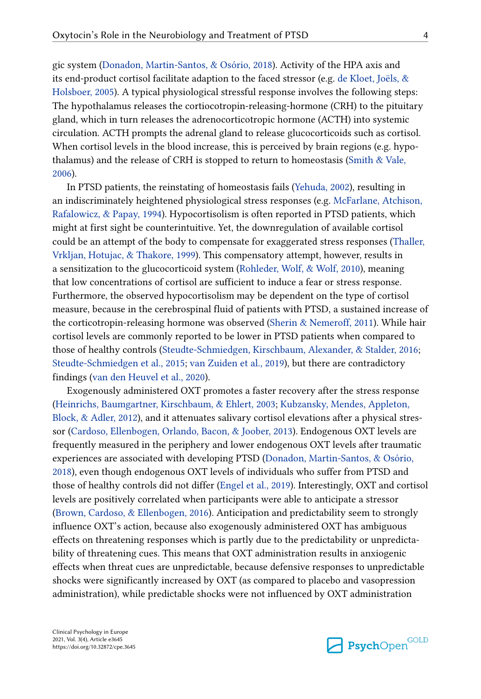gic system [\(Donadon, Martin-Santos, & Osório, 2018\)](#page-12-0). Activity of the HPA axis and its end-product cortisol facilitate adaption to the faced stressor (e.g. [de Kloet, Joëls, &](#page-11-0) [Holsboer, 2005\)](#page-11-0). A typical physiological stressful response involves the following steps: The hypothalamus releases the cortiocotropin-releasing-hormone (CRH) to the pituitary gland, which in turn releases the adrenocorticotropic hormone (ACTH) into systemic circulation. ACTH prompts the adrenal gland to release glucocorticoids such as cortisol. When cortisol levels in the blood increase, this is perceived by brain regions (e.g. hypothalamus) and the release of CRH is stopped to return to homeostasis [\(Smith & Vale,](#page-19-0) [2006\)](#page-19-0).

In PTSD patients, the reinstating of homeostasis fails ([Yehuda, 2002\)](#page-20-0), resulting in an indiscriminately heightened physiological stress responses (e.g. [McFarlane, Atchison,](#page-16-0)  [Rafalowicz, & Papay, 1994](#page-16-0)). Hypocortisolism is often reported in PTSD patients, which might at first sight be counterintuitive. Yet, the downregulation of available cortisol could be an attempt of the body to compensate for exaggerated stress responses [\(Thaller,](#page-19-0) [Vrkljan, Hotujac, & Thakore, 1999](#page-19-0)). This compensatory attempt, however, results in a sensitization to the glucocorticoid system [\(Rohleder, Wolf, & Wolf, 2010](#page-18-0)), meaning that low concentrations of cortisol are sufficient to induce a fear or stress response. Furthermore, the observed hypocortisolism may be dependent on the type of cortisol measure, because in the cerebrospinal fluid of patients with PTSD, a sustained increase of the corticotropin-releasing hormone was observed ([Sherin & Nemeroff, 2011](#page-18-0)). While hair cortisol levels are commonly reported to be lower in PTSD patients when compared to those of healthy controls ([Steudte-Schmiedgen, Kirschbaum, Alexander, & Stalder, 2016;](#page-19-0) [Steudte-Schmiedgen et al., 2015;](#page-19-0) [van Zuiden et al., 2019\)](#page-20-0), but there are contradictory findings [\(van den Heuvel et al., 2020](#page-19-0)).

Exogenously administered OXT promotes a faster recovery after the stress response [\(Heinrichs, Baumgartner, Kirschbaum, & Ehlert, 2003;](#page-13-0) [Kubzansky, Mendes, Appleton,](#page-15-0)  [Block, & Adler, 2012\)](#page-15-0), and it attenuates salivary cortisol elevations after a physical stressor [\(Cardoso, Ellenbogen, Orlando, Bacon, & Joober, 2013\)](#page-11-0). Endogenous OXT levels are frequently measured in the periphery and lower endogenous OXT levels after traumatic experiences are associated with developing PTSD [\(Donadon, Martin-Santos, & Osório,](#page-12-0)  [2018\)](#page-12-0), even though endogenous OXT levels of individuals who suffer from PTSD and those of healthy controls did not differ [\(Engel et al., 2019\)](#page-12-0). Interestingly, OXT and cortisol levels are positively correlated when participants were able to anticipate a stressor [\(Brown, Cardoso, & Ellenbogen, 2016\)](#page-11-0). Anticipation and predictability seem to strongly influence OXT's action, because also exogenously administered OXT has ambiguous effects on threatening responses which is partly due to the predictability or unpredictability of threatening cues. This means that OXT administration results in anxiogenic effects when threat cues are unpredictable, because defensive responses to unpredictable shocks were significantly increased by OXT (as compared to placebo and vasopression administration), while predictable shocks were not influenced by OXT administration

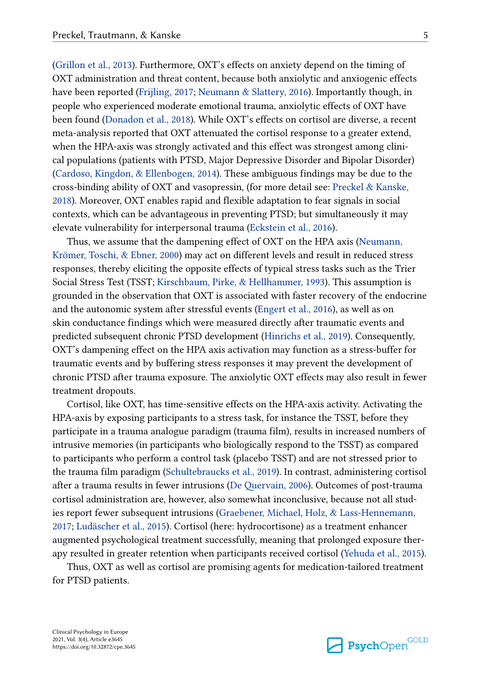[\(Grillon et al., 2013](#page-13-0)). Furthermore, OXT's effects on anxiety depend on the timing of OXT administration and threat content, because both anxiolytic and anxiogenic effects have been reported [\(Frijling, 2017](#page-13-0); [Neumann & Slattery, 2016\)](#page-16-0). Importantly though, in people who experienced moderate emotional trauma, anxiolytic effects of OXT have been found [\(Donadon et al., 2018](#page-12-0)). While OXT's effects on cortisol are diverse, a recent meta-analysis reported that OXT attenuated the cortisol response to a greater extend, when the HPA-axis was strongly activated and this effect was strongest among clinical populations (patients with PTSD, Major Depressive Disorder and Bipolar Disorder) [\(Cardoso, Kingdon, & Ellenbogen, 2014\)](#page-11-0). These ambiguous findings may be due to the cross-binding ability of OXT and vasopressin, (for more detail see: [Preckel & Kanske,](#page-17-0)  [2018\)](#page-17-0). Moreover, OXT enables rapid and flexible adaptation to fear signals in social contexts, which can be advantageous in preventing PTSD; but simultaneously it may elevate vulnerability for interpersonal trauma [\(Eckstein et al., 2016](#page-12-0)).

Thus, we assume that the dampening effect of OXT on the HPA axis [\(Neumann,](#page-16-0)  [Krömer, Toschi, & Ebner, 2000](#page-16-0)) may act on different levels and result in reduced stress responses, thereby eliciting the opposite effects of typical stress tasks such as the Trier Social Stress Test (TSST; [Kirschbaum, Pirke, & Hellhammer, 1993](#page-14-0)). This assumption is grounded in the observation that OXT is associated with faster recovery of the endocrine and the autonomic system after stressful events ([Engert et al., 2016](#page-12-0)), as well as on skin conductance findings which were measured directly after traumatic events and predicted subsequent chronic PTSD development [\(Hinrichs et al., 2019](#page-14-0)). Consequently, OXT's dampening effect on the HPA axis activation may function as a stress-buffer for traumatic events and by buffering stress responses it may prevent the development of chronic PTSD after trauma exposure. The anxiolytic OXT effects may also result in fewer treatment dropouts.

Cortisol, like OXT, has time-sensitive effects on the HPA-axis activity. Activating the HPA-axis by exposing participants to a stress task, for instance the TSST, before they participate in a trauma analogue paradigm (trauma film), results in increased numbers of intrusive memories (in participants who biologically respond to the TSST) as compared to participants who perform a control task (placebo TSST) and are not stressed prior to the trauma film paradigm [\(Schultebraucks et al., 2019\)](#page-18-0). In contrast, administering cortisol after a trauma results in fewer intrusions ([De Quervain, 2006](#page-11-0)). Outcomes of post-trauma cortisol administration are, however, also somewhat inconclusive, because not all studies report fewer subsequent intrusions [\(Graebener, Michael, Holz, & Lass-Hennemann,](#page-13-0) [2017;](#page-13-0) [Ludäscher et al., 2015\)](#page-15-0). Cortisol (here: hydrocortisone) as a treatment enhancer augmented psychological treatment successfully, meaning that prolonged exposure therapy resulted in greater retention when participants received cortisol ([Yehuda et al., 2015\)](#page-20-0).

Thus, OXT as well as cortisol are promising agents for medication-tailored treatment for PTSD patients.

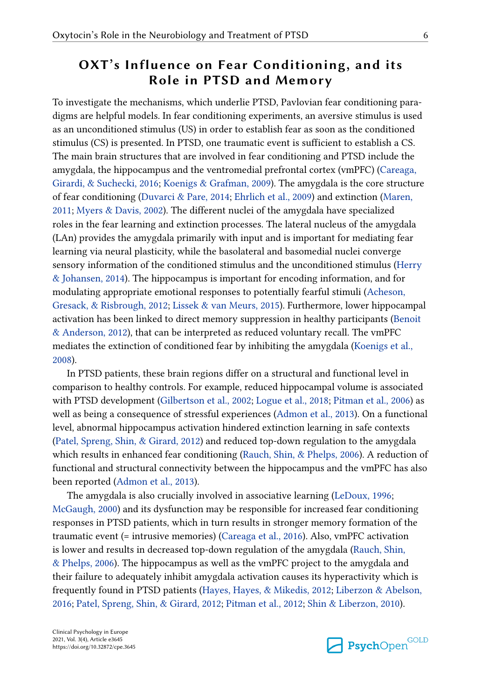# **OXT's Influence on Fear Conditioning, and its Role in PTSD and Memory**

To investigate the mechanisms, which underlie PTSD, Pavlovian fear conditioning paradigms are helpful models. In fear conditioning experiments, an aversive stimulus is used as an unconditioned stimulus (US) in order to establish fear as soon as the conditioned stimulus (CS) is presented. In PTSD, one traumatic event is sufficient to establish a CS. The main brain structures that are involved in fear conditioning and PTSD include the amygdala, the hippocampus and the ventromedial prefrontal cortex (vmPFC) ([Careaga,](#page-11-0) [Girardi, & Suchecki, 2016](#page-11-0); [Koenigs & Grafman, 2009](#page-14-0)). The amygdala is the core structure of fear conditioning [\(Duvarci & Pare, 2014](#page-12-0); [Ehrlich et al., 2009](#page-12-0)) and extinction ([Maren,](#page-16-0)  [2011; Myers & Davis, 2002\)](#page-16-0). The different nuclei of the amygdala have specialized roles in the fear learning and extinction processes. The lateral nucleus of the amygdala (LAn) provides the amygdala primarily with input and is important for mediating fear learning via neural plasticity, while the basolateral and basomedial nuclei converge sensory information of the conditioned stimulus and the unconditioned stimulus [\(Herry](#page-14-0)  [& Johansen, 2014](#page-14-0)). The hippocampus is important for encoding information, and for modulating appropriate emotional responses to potentially fearful stimuli ([Acheson,](#page-10-0) [Gresack, & Risbrough, 2012](#page-10-0); [Lissek & van Meurs, 2015](#page-15-0)). Furthermore, lower hippocampal activation has been linked to direct memory suppression in healthy participants ([Benoit](#page-11-0)  [& Anderson, 2012\)](#page-11-0), that can be interpreted as reduced voluntary recall. The vmPFC mediates the extinction of conditioned fear by inhibiting the amygdala ([Koenigs et al.,](#page-15-0)  [2008\)](#page-15-0).

In PTSD patients, these brain regions differ on a structural and functional level in comparison to healthy controls. For example, reduced hippocampal volume is associated with PTSD development [\(Gilbertson et al., 2002](#page-13-0); [Logue et al., 2018;](#page-15-0) [Pitman et al., 2006](#page-17-0)) as well as being a consequence of stressful experiences [\(Admon et al., 2013\)](#page-10-0). On a functional level, abnormal hippocampus activation hindered extinction learning in safe contexts [\(Patel, Spreng, Shin, & Girard, 2012\)](#page-16-0) and reduced top-down regulation to the amygdala which results in enhanced fear conditioning [\(Rauch, Shin, & Phelps, 2006](#page-18-0)). A reduction of functional and structural connectivity between the hippocampus and the vmPFC has also been reported [\(Admon et al., 2013\)](#page-10-0).

The amygdala is also crucially involved in associative learning ([LeDoux, 1996;](#page-15-0) [McGaugh, 2000](#page-16-0)) and its dysfunction may be responsible for increased fear conditioning responses in PTSD patients, which in turn results in stronger memory formation of the traumatic event (= intrusive memories) ([Careaga et al., 2016](#page-11-0)). Also, vmPFC activation is lower and results in decreased top-down regulation of the amygdala ([Rauch, Shin,](#page-18-0) [& Phelps, 2006\)](#page-18-0). The hippocampus as well as the vmPFC project to the amygdala and their failure to adequately inhibit amygdala activation causes its hyperactivity which is frequently found in PTSD patients ([Hayes, Hayes, & Mikedis, 2012](#page-13-0); [Liberzon & Abelson,](#page-15-0)  [2016;](#page-15-0) [Patel, Spreng, Shin, & Girard, 2012](#page-16-0); [Pitman et al., 2012;](#page-17-0) [Shin & Liberzon, 2010](#page-18-0)).

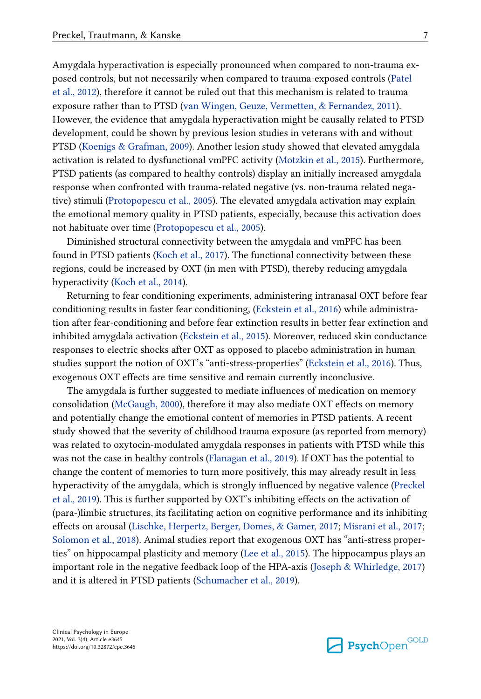Amygdala hyperactivation is especially pronounced when compared to non-trauma exposed controls, but not necessarily when compared to trauma-exposed controls [\(Patel](#page-16-0)  [et al., 2012\)](#page-16-0), therefore it cannot be ruled out that this mechanism is related to trauma exposure rather than to PTSD [\(van Wingen, Geuze, Vermetten, & Fernandez, 2011](#page-19-0)). However, the evidence that amygdala hyperactivation might be causally related to PTSD development, could be shown by previous lesion studies in veterans with and without PTSD ([Koenigs & Grafman, 2009](#page-14-0)). Another lesion study showed that elevated amygdala activation is related to dysfunctional vmPFC activity [\(Motzkin et al., 2015](#page-16-0)). Furthermore, PTSD patients (as compared to healthy controls) display an initially increased amygdala response when confronted with trauma-related negative (vs. non-trauma related negative) stimuli ([Protopopescu et al., 2005\)](#page-17-0). The elevated amygdala activation may explain the emotional memory quality in PTSD patients, especially, because this activation does not habituate over time [\(Protopopescu et al., 2005](#page-17-0)).

Diminished structural connectivity between the amygdala and vmPFC has been found in PTSD patients ([Koch et al., 2017](#page-14-0)). The functional connectivity between these regions, could be increased by OXT (in men with PTSD), thereby reducing amygdala hyperactivity [\(Koch et al., 2014](#page-14-0)).

Returning to fear conditioning experiments, administering intranasal OXT before fear conditioning results in faster fear conditioning, [\(Eckstein et al., 2016](#page-12-0)) while administration after fear-conditioning and before fear extinction results in better fear extinction and inhibited amygdala activation [\(Eckstein et al., 2015](#page-12-0)). Moreover, reduced skin conductance responses to electric shocks after OXT as opposed to placebo administration in human studies support the notion of OXT's "anti-stress-properties" [\(Eckstein et al., 2016](#page-12-0)). Thus, exogenous OXT effects are time sensitive and remain currently inconclusive.

The amygdala is further suggested to mediate influences of medication on memory consolidation [\(McGaugh, 2000\)](#page-16-0), therefore it may also mediate OXT effects on memory and potentially change the emotional content of memories in PTSD patients. A recent study showed that the severity of childhood trauma exposure (as reported from memory) was related to oxytocin-modulated amygdala responses in patients with PTSD while this was not the case in healthy controls [\(Flanagan et al., 2019\)](#page-13-0). If OXT has the potential to change the content of memories to turn more positively, this may already result in less hyperactivity of the amygdala, which is strongly influenced by negative valence ([Preckel](#page-17-0)  [et al., 2019\)](#page-17-0). This is further supported by OXT's inhibiting effects on the activation of (para-)limbic structures, its facilitating action on cognitive performance and its inhibiting effects on arousal [\(Lischke, Herpertz, Berger, Domes, & Gamer, 2017](#page-15-0); [Misrani et al., 2017;](#page-16-0) [Solomon et al., 2018](#page-19-0)). Animal studies report that exogenous OXT has "anti-stress properties" on hippocampal plasticity and memory [\(Lee et al., 2015\)](#page-15-0). The hippocampus plays an important role in the negative feedback loop of the HPA-axis ([Joseph & Whirledge, 2017](#page-14-0)) and it is altered in PTSD patients [\(Schumacher et al., 2019\)](#page-18-0).

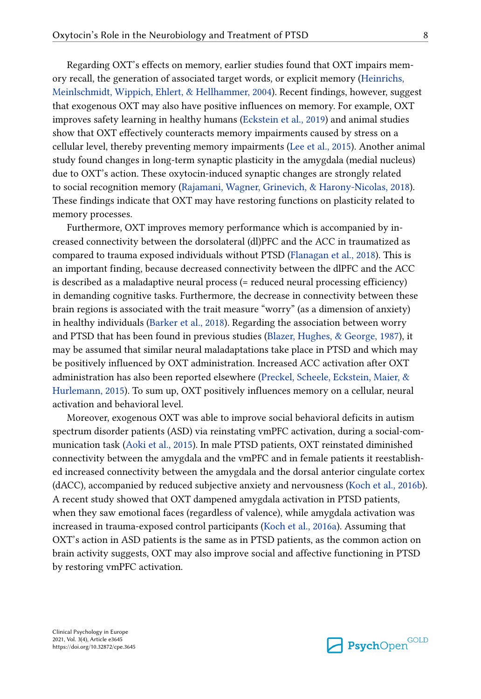Regarding OXT's effects on memory, earlier studies found that OXT impairs memory recall, the generation of associated target words, or explicit memory [\(Heinrichs,](#page-13-0) [Meinlschmidt, Wippich, Ehlert, & Hellhammer, 2004](#page-13-0)). Recent findings, however, suggest that exogenous OXT may also have positive influences on memory. For example, OXT improves safety learning in healthy humans [\(Eckstein et al., 2019](#page-12-0)) and animal studies show that OXT effectively counteracts memory impairments caused by stress on a cellular level, thereby preventing memory impairments ([Lee et al., 2015\)](#page-15-0). Another animal study found changes in long-term synaptic plasticity in the amygdala (medial nucleus) due to OXT's action. These oxytocin-induced synaptic changes are strongly related to social recognition memory ([Rajamani, Wagner, Grinevich, & Harony-Nicolas, 2018\)](#page-17-0). These findings indicate that OXT may have restoring functions on plasticity related to memory processes.

Furthermore, OXT improves memory performance which is accompanied by increased connectivity between the dorsolateral (dl)PFC and the ACC in traumatized as compared to trauma exposed individuals without PTSD ([Flanagan et al., 2018](#page-12-0)). This is an important finding, because decreased connectivity between the dlPFC and the ACC is described as a maladaptive neural process (= reduced neural processing efficiency) in demanding cognitive tasks. Furthermore, the decrease in connectivity between these brain regions is associated with the trait measure "worry" (as a dimension of anxiety) in healthy individuals [\(Barker et al., 2018](#page-10-0)). Regarding the association between worry and PTSD that has been found in previous studies [\(Blazer, Hughes, & George, 1987](#page-11-0)), it may be assumed that similar neural maladaptations take place in PTSD and which may be positively influenced by OXT administration. Increased ACC activation after OXT administration has also been reported elsewhere [\(Preckel, Scheele, Eckstein, Maier, &](#page-17-0)  [Hurlemann, 2015](#page-17-0)). To sum up, OXT positively influences memory on a cellular, neural activation and behavioral level.

Moreover, exogenous OXT was able to improve social behavioral deficits in autism spectrum disorder patients (ASD) via reinstating vmPFC activation, during a social-communication task [\(Aoki et al., 2015](#page-10-0)). In male PTSD patients, OXT reinstated diminished connectivity between the amygdala and the vmPFC and in female patients it reestablished increased connectivity between the amygdala and the dorsal anterior cingulate cortex (dACC), accompanied by reduced subjective anxiety and nervousness ([Koch et al., 2016b\)](#page-14-0). A recent study showed that OXT dampened amygdala activation in PTSD patients, when they saw emotional faces (regardless of valence), while amygdala activation was increased in trauma-exposed control participants ([Koch et al., 2016a\)](#page-14-0). Assuming that OXT's action in ASD patients is the same as in PTSD patients, as the common action on brain activity suggests, OXT may also improve social and affective functioning in PTSD by restoring vmPFC activation.

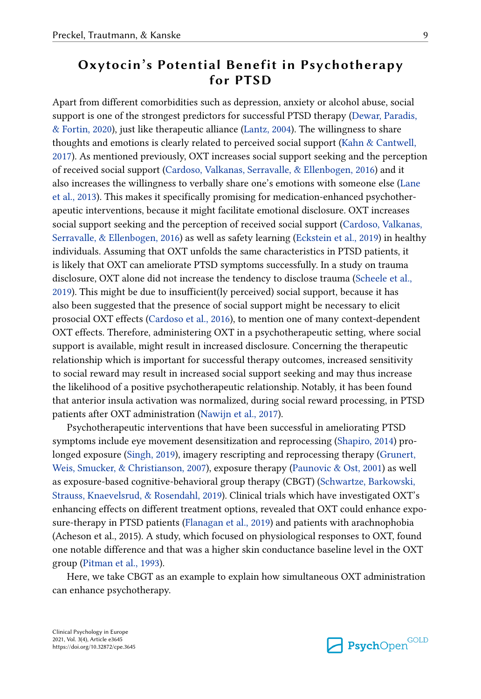#### **Oxytocin's Potential Benefit in Psychotherapy for PTSD**

Apart from different comorbidities such as depression, anxiety or alcohol abuse, social support is one of the strongest predictors for successful PTSD therapy [\(Dewar, Paradis,](#page-11-0)  [& Fortin, 2020\)](#page-11-0), just like therapeutic alliance [\(Lantz, 2004](#page-15-0)). The willingness to share thoughts and emotions is clearly related to perceived social support [\(Kahn & Cantwell,](#page-14-0) [2017\)](#page-14-0). As mentioned previously, OXT increases social support seeking and the perception of received social support [\(Cardoso, Valkanas, Serravalle, & Ellenbogen, 2016\)](#page-11-0) and it also increases the willingness to verbally share one's emotions with someone else [\(Lane](#page-15-0) [et al., 2013\)](#page-15-0). This makes it specifically promising for medication-enhanced psychotherapeutic interventions, because it might facilitate emotional disclosure. OXT increases social support seeking and the perception of received social support ([Cardoso, Valkanas,](#page-11-0)  [Serravalle, & Ellenbogen, 2016\)](#page-11-0) as well as safety learning [\(Eckstein et al., 2019](#page-12-0)) in healthy individuals. Assuming that OXT unfolds the same characteristics in PTSD patients, it is likely that OXT can ameliorate PTSD symptoms successfully. In a study on trauma disclosure, OXT alone did not increase the tendency to disclose trauma [\(Scheele et al.,](#page-18-0)  [2019\)](#page-18-0). This might be due to insufficient(ly perceived) social support, because it has also been suggested that the presence of social support might be necessary to elicit prosocial OXT effects ([Cardoso et al., 2016\)](#page-11-0), to mention one of many context-dependent OXT effects. Therefore, administering OXT in a psychotherapeutic setting, where social support is available, might result in increased disclosure. Concerning the therapeutic relationship which is important for successful therapy outcomes, increased sensitivity to social reward may result in increased social support seeking and may thus increase the likelihood of a positive psychotherapeutic relationship. Notably, it has been found that anterior insula activation was normalized, during social reward processing, in PTSD patients after OXT administration [\(Nawijn et al., 2017](#page-16-0)).

Psychotherapeutic interventions that have been successful in ameliorating PTSD symptoms include eye movement desensitization and reprocessing [\(Shapiro, 2014\)](#page-18-0) prolonged exposure ([Singh, 2019](#page-19-0)), imagery rescripting and reprocessing therapy ([Grunert,](#page-13-0)  [Weis, Smucker, & Christianson, 2007\)](#page-13-0), exposure therapy ([Paunovic & Ost, 2001\)](#page-17-0) as well as exposure-based cognitive-behavioral group therapy (CBGT) ([Schwartze, Barkowski,](#page-18-0) [Strauss, Knaevelsrud, & Rosendahl, 2019\)](#page-18-0). Clinical trials which have investigated OXT's enhancing effects on different treatment options, revealed that OXT could enhance exposure-therapy in PTSD patients [\(Flanagan et al., 2019\)](#page-13-0) and patients with arachnophobia (Acheson et al., 2015). A study, which focused on physiological responses to OXT, found one notable difference and that was a higher skin conductance baseline level in the OXT group ([Pitman et al., 1993](#page-17-0)).

Here, we take CBGT as an example to explain how simultaneous OXT administration can enhance psychotherapy.

**Psych**Open<sup>GOLD</sup>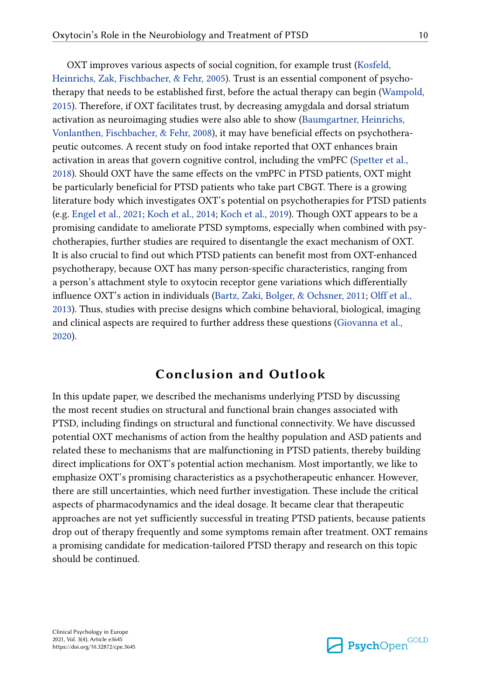OXT improves various aspects of social cognition, for example trust ([Kosfeld,](#page-15-0) [Heinrichs, Zak, Fischbacher, & Fehr, 2005](#page-15-0)). Trust is an essential component of psychotherapy that needs to be established first, before the actual therapy can begin [\(Wampold,](#page-20-0) [2015\)](#page-20-0). Therefore, if OXT facilitates trust, by decreasing amygdala and dorsal striatum activation as neuroimaging studies were also able to show ([Baumgartner, Heinrichs,](#page-11-0)  [Vonlanthen, Fischbacher, & Fehr, 2008](#page-11-0)), it may have beneficial effects on psychotherapeutic outcomes. A recent study on food intake reported that OXT enhances brain activation in areas that govern cognitive control, including the vmPFC ([Spetter et al.,](#page-19-0) [2018\)](#page-19-0). Should OXT have the same effects on the vmPFC in PTSD patients, OXT might be particularly beneficial for PTSD patients who take part CBGT. There is a growing literature body which investigates OXT's potential on psychotherapies for PTSD patients (e.g. [Engel et al., 2021;](#page-12-0) [Koch et al., 2014;](#page-14-0) [Koch et al., 2019\)](#page-14-0). Though OXT appears to be a promising candidate to ameliorate PTSD symptoms, especially when combined with psychotherapies, further studies are required to disentangle the exact mechanism of OXT. It is also crucial to find out which PTSD patients can benefit most from OXT-enhanced psychotherapy, because OXT has many person-specific characteristics, ranging from a person's attachment style to oxytocin receptor gene variations which differentially influence OXT's action in individuals [\(Bartz, Zaki, Bolger, & Ochsner, 2011;](#page-11-0) [Olff et al.,](#page-16-0)  [2013\)](#page-16-0). Thus, studies with precise designs which combine behavioral, biological, imaging and clinical aspects are required to further address these questions [\(Giovanna et al.,](#page-13-0)  [2020\)](#page-13-0).

#### **Conclusion and Outlook**

In this update paper, we described the mechanisms underlying PTSD by discussing the most recent studies on structural and functional brain changes associated with PTSD, including findings on structural and functional connectivity. We have discussed potential OXT mechanisms of action from the healthy population and ASD patients and related these to mechanisms that are malfunctioning in PTSD patients, thereby building direct implications for OXT's potential action mechanism. Most importantly, we like to emphasize OXT's promising characteristics as a psychotherapeutic enhancer. However, there are still uncertainties, which need further investigation. These include the critical aspects of pharmacodynamics and the ideal dosage. It became clear that therapeutic approaches are not yet sufficiently successful in treating PTSD patients, because patients drop out of therapy frequently and some symptoms remain after treatment. OXT remains a promising candidate for medication-tailored PTSD therapy and research on this topic should be continued.

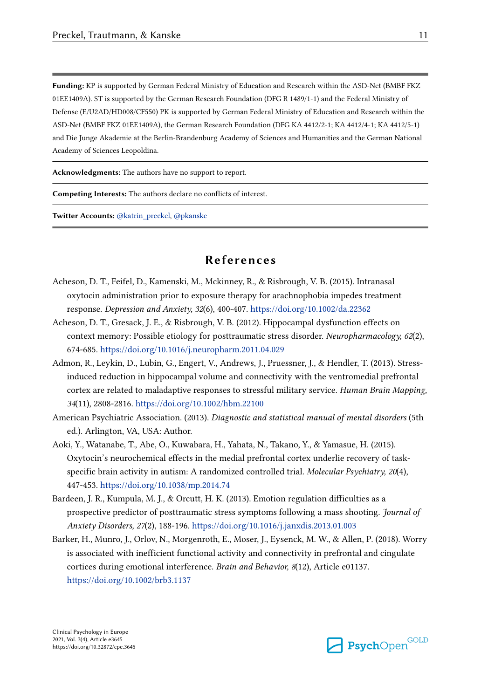<span id="page-10-0"></span>**Funding:** KP is supported by German Federal Ministry of Education and Research within the ASD-Net (BMBF FKZ 01EE1409A). ST is supported by the German Research Foundation (DFG R 1489/1-1) and the Federal Ministry of Defense (E/U2AD/HD008/CF550) PK is supported by German Federal Ministry of Education and Research within the ASD-Net (BMBF FKZ 01EE1409A), the German Research Foundation (DFG KA 4412/2-1; KA 4412/4-1; KA 4412/5-1) and Die Junge Akademie at the Berlin-Brandenburg Academy of Sciences and Humanities and the German National Academy of Sciences Leopoldina.

**Acknowledgments:** The authors have no support to report.

**Competing Interests:** The authors declare no conflicts of interest.

**Twitter Accounts:** [@katrin\\_preckel,](https://twitter.com/katrin_preckel) [@pkanske](https://twitter.com/pkanske)

#### **References**

- Acheson, D. T., Feifel, D., Kamenski, M., Mckinney, R., & Risbrough, V. B. (2015). Intranasal oxytocin administration prior to exposure therapy for arachnophobia impedes treatment response. *Depression and Anxiety, 32*(6), 400-407. <https://doi.org/10.1002/da.22362>
- Acheson, D. T., Gresack, J. E., & Risbrough, V. B. (2012). Hippocampal dysfunction effects on context memory: Possible etiology for posttraumatic stress disorder. *Neuropharmacology, 62*(2), 674-685. <https://doi.org/10.1016/j.neuropharm.2011.04.029>
- Admon, R., Leykin, D., Lubin, G., Engert, V., Andrews, J., Pruessner, J., & Hendler, T. (2013). Stressinduced reduction in hippocampal volume and connectivity with the ventromedial prefrontal cortex are related to maladaptive responses to stressful military service. *Human Brain Mapping, 34*(11), 2808-2816. <https://doi.org/10.1002/hbm.22100>
- American Psychiatric Association. (2013). *Diagnostic and statistical manual of mental disorders* (5th ed.). Arlington, VA, USA: Author.
- Aoki, Y., Watanabe, T., Abe, O., Kuwabara, H., Yahata, N., Takano, Y., & Yamasue, H. (2015). Oxytocin's neurochemical effects in the medial prefrontal cortex underlie recovery of taskspecific brain activity in autism: A randomized controlled trial. *Molecular Psychiatry, 20*(4), 447-453. <https://doi.org/10.1038/mp.2014.74>
- Bardeen, J. R., Kumpula, M. J., & Orcutt, H. K. (2013). Emotion regulation difficulties as a prospective predictor of posttraumatic stress symptoms following a mass shooting. *Journal of Anxiety Disorders, 27*(2), 188-196. <https://doi.org/10.1016/j.janxdis.2013.01.003>
- Barker, H., Munro, J., Orlov, N., Morgenroth, E., Moser, J., Eysenck, M. W., & Allen, P. (2018). Worry is associated with inefficient functional activity and connectivity in prefrontal and cingulate cortices during emotional interference. *Brain and Behavior, 8*(12), Article e01137. <https://doi.org/10.1002/brb3.1137>

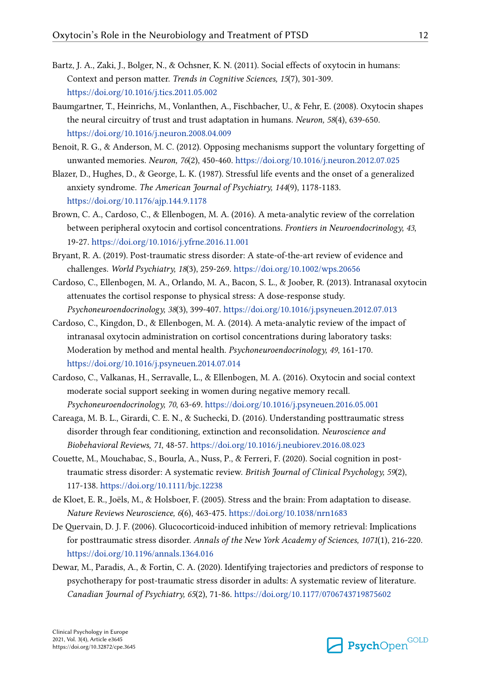- <span id="page-11-0"></span>Bartz, J. A., Zaki, J., Bolger, N., & Ochsner, K. N. (2011). Social effects of oxytocin in humans: Context and person matter. *Trends in Cognitive Sciences, 15*(7), 301-309. <https://doi.org/10.1016/j.tics.2011.05.002>
- Baumgartner, T., Heinrichs, M., Vonlanthen, A., Fischbacher, U., & Fehr, E. (2008). Oxytocin shapes the neural circuitry of trust and trust adaptation in humans. *Neuron, 58*(4), 639-650. <https://doi.org/10.1016/j.neuron.2008.04.009>
- Benoit, R. G., & Anderson, M. C. (2012). Opposing mechanisms support the voluntary forgetting of unwanted memories. *Neuron, 76*(2), 450-460.<https://doi.org/10.1016/j.neuron.2012.07.025>
- Blazer, D., Hughes, D., & George, L. K. (1987). Stressful life events and the onset of a generalized anxiety syndrome. *The American Journal of Psychiatry, 144*(9), 1178-1183. <https://doi.org/10.1176/ajp.144.9.1178>
- Brown, C. A., Cardoso, C., & Ellenbogen, M. A. (2016). A meta-analytic review of the correlation between peripheral oxytocin and cortisol concentrations. *Frontiers in Neuroendocrinology, 43*, 19-27.<https://doi.org/10.1016/j.yfrne.2016.11.001>
- Bryant, R. A. (2019). Post-traumatic stress disorder: A state-of-the-art review of evidence and challenges. *World Psychiatry, 18*(3), 259-269.<https://doi.org/10.1002/wps.20656>
- Cardoso, C., Ellenbogen, M. A., Orlando, M. A., Bacon, S. L., & Joober, R. (2013). Intranasal oxytocin attenuates the cortisol response to physical stress: A dose-response study. *Psychoneuroendocrinology, 38*(3), 399-407.<https://doi.org/10.1016/j.psyneuen.2012.07.013>
- Cardoso, C., Kingdon, D., & Ellenbogen, M. A. (2014). A meta-analytic review of the impact of intranasal oxytocin administration on cortisol concentrations during laboratory tasks: Moderation by method and mental health. *Psychoneuroendocrinology, 49*, 161-170. <https://doi.org/10.1016/j.psyneuen.2014.07.014>
- Cardoso, C., Valkanas, H., Serravalle, L., & Ellenbogen, M. A. (2016). Oxytocin and social context moderate social support seeking in women during negative memory recall. *Psychoneuroendocrinology, 70*, 63-69. <https://doi.org/10.1016/j.psyneuen.2016.05.001>
- Careaga, M. B. L., Girardi, C. E. N., & Suchecki, D. (2016). Understanding posttraumatic stress disorder through fear conditioning, extinction and reconsolidation. *Neuroscience and Biobehavioral Reviews, 71*, 48-57.<https://doi.org/10.1016/j.neubiorev.2016.08.023>
- Couette, M., Mouchabac, S., Bourla, A., Nuss, P., & Ferreri, F. (2020). Social cognition in posttraumatic stress disorder: A systematic review. *British Journal of Clinical Psychology, 59*(2), 117-138. <https://doi.org/10.1111/bjc.12238>
- de Kloet, E. R., Joëls, M., & Holsboer, F. (2005). Stress and the brain: From adaptation to disease. *Nature Reviews Neuroscience, 6*(6), 463-475. <https://doi.org/10.1038/nrn1683>
- De Quervain, D. J. F. (2006). Glucocorticoid-induced inhibition of memory retrieval: Implications for posttraumatic stress disorder. *Annals of the New York Academy of Sciences, 1071*(1), 216-220. <https://doi.org/10.1196/annals.1364.016>
- Dewar, M., Paradis, A., & Fortin, C. A. (2020). Identifying trajectories and predictors of response to psychotherapy for post-traumatic stress disorder in adults: A systematic review of literature. *Canadian Journal of Psychiatry, 65*(2), 71-86.<https://doi.org/10.1177/0706743719875602>

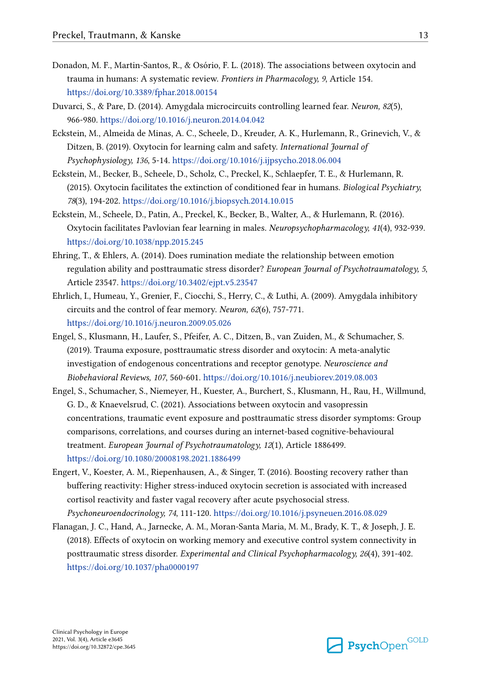- <span id="page-12-0"></span>Donadon, M. F., Martin-Santos, R., & Osório, F. L. (2018). The associations between oxytocin and trauma in humans: A systematic review. *Frontiers in Pharmacology, 9*, Article 154. <https://doi.org/10.3389/fphar.2018.00154>
- Duvarci, S., & Pare, D. (2014). Amygdala microcircuits controlling learned fear. *Neuron, 82*(5), 966-980. <https://doi.org/10.1016/j.neuron.2014.04.042>
- Eckstein, M., Almeida de Minas, A. C., Scheele, D., Kreuder, A. K., Hurlemann, R., Grinevich, V., & Ditzen, B. (2019). Oxytocin for learning calm and safety. *International Journal of Psychophysiology, 136*, 5-14. <https://doi.org/10.1016/j.ijpsycho.2018.06.004>
- Eckstein, M., Becker, B., Scheele, D., Scholz, C., Preckel, K., Schlaepfer, T. E., & Hurlemann, R. (2015). Oxytocin facilitates the extinction of conditioned fear in humans. *Biological Psychiatry, 78*(3), 194-202.<https://doi.org/10.1016/j.biopsych.2014.10.015>
- Eckstein, M., Scheele, D., Patin, A., Preckel, K., Becker, B., Walter, A., & Hurlemann, R. (2016). Oxytocin facilitates Pavlovian fear learning in males. *Neuropsychopharmacology, 41*(4), 932-939. <https://doi.org/10.1038/npp.2015.245>
- Ehring, T., & Ehlers, A. (2014). Does rumination mediate the relationship between emotion regulation ability and posttraumatic stress disorder? *European Journal of Psychotraumatology, 5*, Article 23547. <https://doi.org/10.3402/ejpt.v5.23547>
- Ehrlich, I., Humeau, Y., Grenier, F., Ciocchi, S., Herry, C., & Luthi, A. (2009). Amygdala inhibitory circuits and the control of fear memory. *Neuron, 62*(6), 757-771. <https://doi.org/10.1016/j.neuron.2009.05.026>
- Engel, S., Klusmann, H., Laufer, S., Pfeifer, A. C., Ditzen, B., van Zuiden, M., & Schumacher, S. (2019). Trauma exposure, posttraumatic stress disorder and oxytocin: A meta-analytic investigation of endogenous concentrations and receptor genotype. *Neuroscience and Biobehavioral Reviews, 107*, 560-601. <https://doi.org/10.1016/j.neubiorev.2019.08.003>
- Engel, S., Schumacher, S., Niemeyer, H., Kuester, A., Burchert, S., Klusmann, H., Rau, H., Willmund, G. D., & Knaevelsrud, C. (2021). Associations between oxytocin and vasopressin concentrations, traumatic event exposure and posttraumatic stress disorder symptoms: Group comparisons, correlations, and courses during an internet-based cognitive-behavioural treatment. *European Journal of Psychotraumatology, 12*(1), Article 1886499. <https://doi.org/10.1080/20008198.2021.1886499>
- Engert, V., Koester, A. M., Riepenhausen, A., & Singer, T. (2016). Boosting recovery rather than buffering reactivity: Higher stress-induced oxytocin secretion is associated with increased cortisol reactivity and faster vagal recovery after acute psychosocial stress. *Psychoneuroendocrinology, 74*, 111-120. <https://doi.org/10.1016/j.psyneuen.2016.08.029>
- Flanagan, J. C., Hand, A., Jarnecke, A. M., Moran-Santa Maria, M. M., Brady, K. T., & Joseph, J. E. (2018). Effects of oxytocin on working memory and executive control system connectivity in posttraumatic stress disorder. *Experimental and Clinical Psychopharmacology, 26*(4), 391-402. <https://doi.org/10.1037/pha0000197>

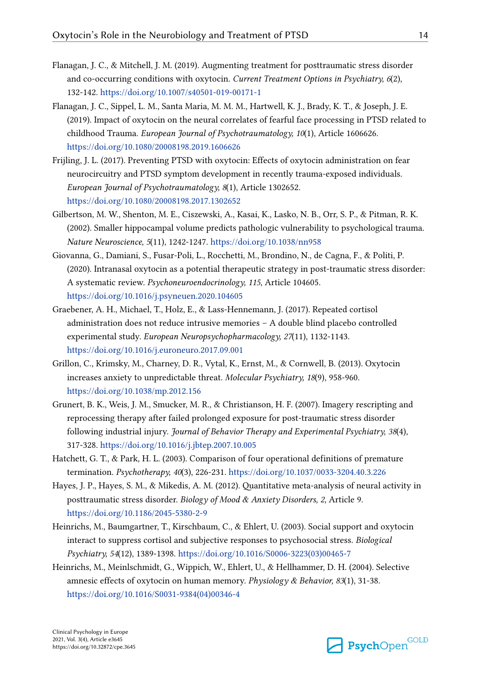- <span id="page-13-0"></span>Flanagan, J. C., & Mitchell, J. M. (2019). Augmenting treatment for posttraumatic stress disorder and co-occurring conditions with oxytocin. *Current Treatment Options in Psychiatry, 6*(2), 132-142. <https://doi.org/10.1007/s40501-019-00171-1>
- Flanagan, J. C., Sippel, L. M., Santa Maria, M. M. M., Hartwell, K. J., Brady, K. T., & Joseph, J. E. (2019). Impact of oxytocin on the neural correlates of fearful face processing in PTSD related to childhood Trauma. *European Journal of Psychotraumatology, 10*(1), Article 1606626. <https://doi.org/10.1080/20008198.2019.1606626>
- Frijling, J. L. (2017). Preventing PTSD with oxytocin: Effects of oxytocin administration on fear neurocircuitry and PTSD symptom development in recently trauma-exposed individuals. *European Journal of Psychotraumatology, 8*(1), Article 1302652. <https://doi.org/10.1080/20008198.2017.1302652>
- Gilbertson, M. W., Shenton, M. E., Ciszewski, A., Kasai, K., Lasko, N. B., Orr, S. P., & Pitman, R. K. (2002). Smaller hippocampal volume predicts pathologic vulnerability to psychological trauma. *Nature Neuroscience, 5*(11), 1242-1247. <https://doi.org/10.1038/nn958>
- Giovanna, G., Damiani, S., Fusar-Poli, L., Rocchetti, M., Brondino, N., de Cagna, F., & Politi, P. (2020). Intranasal oxytocin as a potential therapeutic strategy in post-traumatic stress disorder: A systematic review. *Psychoneuroendocrinology, 115*, Article 104605. <https://doi.org/10.1016/j.psyneuen.2020.104605>
- Graebener, A. H., Michael, T., Holz, E., & Lass-Hennemann, J. (2017). Repeated cortisol administration does not reduce intrusive memories – A double blind placebo controlled experimental study. *European Neuropsychopharmacology, 27*(11), 1132-1143. <https://doi.org/10.1016/j.euroneuro.2017.09.001>
- Grillon, C., Krimsky, M., Charney, D. R., Vytal, K., Ernst, M., & Cornwell, B. (2013). Oxytocin increases anxiety to unpredictable threat. *Molecular Psychiatry, 18*(9), 958-960. <https://doi.org/10.1038/mp.2012.156>
- Grunert, B. K., Weis, J. M., Smucker, M. R., & Christianson, H. F. (2007). Imagery rescripting and reprocessing therapy after failed prolonged exposure for post-traumatic stress disorder following industrial injury. *Journal of Behavior Therapy and Experimental Psychiatry, 38*(4), 317-328. <https://doi.org/10.1016/j.jbtep.2007.10.005>
- Hatchett, G. T., & Park, H. L. (2003). Comparison of four operational definitions of premature termination. *Psychotherapy, 40*(3), 226-231. <https://doi.org/10.1037/0033-3204.40.3.226>
- Hayes, J. P., Hayes, S. M., & Mikedis, A. M. (2012). Quantitative meta-analysis of neural activity in posttraumatic stress disorder. *Biology of Mood & Anxiety Disorders, 2*, Article 9. <https://doi.org/10.1186/2045-5380-2-9>
- Heinrichs, M., Baumgartner, T., Kirschbaum, C., & Ehlert, U. (2003). Social support and oxytocin interact to suppress cortisol and subjective responses to psychosocial stress. *Biological Psychiatry, 54*(12), 1389-1398. [https://doi.org/10.1016/S0006-3223\(03\)00465-7](https://doi.org/10.1016/S0006-3223(03)00465-7)
- Heinrichs, M., Meinlschmidt, G., Wippich, W., Ehlert, U., & Hellhammer, D. H. (2004). Selective amnesic effects of oxytocin on human memory. *Physiology & Behavior, 83*(1), 31-38. [https://doi.org/10.1016/S0031-9384\(04\)00346-4](https://doi.org/10.1016/S0031-9384(04)00346-4)

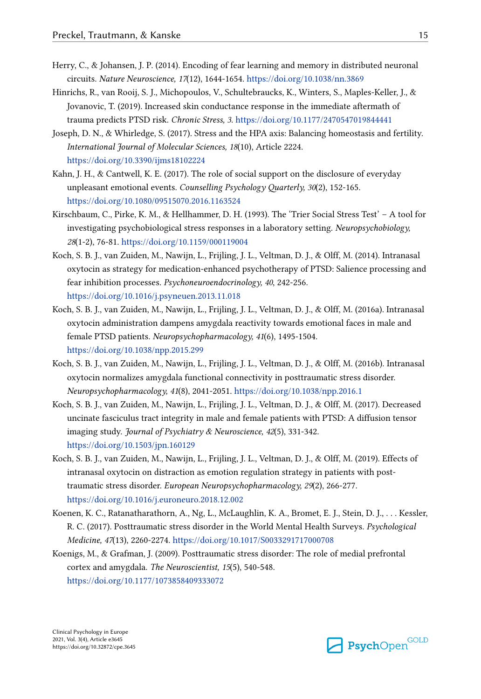- <span id="page-14-0"></span>Herry, C., & Johansen, J. P. (2014). Encoding of fear learning and memory in distributed neuronal circuits. *Nature Neuroscience, 17*(12), 1644-1654.<https://doi.org/10.1038/nn.3869>
- Hinrichs, R., van Rooij, S. J., Michopoulos, V., Schultebraucks, K., Winters, S., Maples-Keller, J., & Jovanovic, T. (2019). Increased skin conductance response in the immediate aftermath of trauma predicts PTSD risk. *Chronic Stress, 3*.<https://doi.org/10.1177/2470547019844441>
- Joseph, D. N., & Whirledge, S. (2017). Stress and the HPA axis: Balancing homeostasis and fertility. *International Journal of Molecular Sciences, 18*(10), Article 2224. <https://doi.org/10.3390/ijms18102224>
- Kahn, J. H., & Cantwell, K. E. (2017). The role of social support on the disclosure of everyday unpleasant emotional events. *Counselling Psychology Quarterly, 30*(2), 152-165. <https://doi.org/10.1080/09515070.2016.1163524>
- Kirschbaum, C., Pirke, K. M., & Hellhammer, D. H. (1993). The 'Trier Social Stress Test' A tool for investigating psychobiological stress responses in a laboratory setting. *Neuropsychobiology, 28*(1-2), 76-81.<https://doi.org/10.1159/000119004>
- Koch, S. B. J., van Zuiden, M., Nawijn, L., Frijling, J. L., Veltman, D. J., & Olff, M. (2014). Intranasal oxytocin as strategy for medication-enhanced psychotherapy of PTSD: Salience processing and fear inhibition processes. *Psychoneuroendocrinology, 40*, 242-256. <https://doi.org/10.1016/j.psyneuen.2013.11.018>
- Koch, S. B. J., van Zuiden, M., Nawijn, L., Frijling, J. L., Veltman, D. J., & Olff, M. (2016a). Intranasal oxytocin administration dampens amygdala reactivity towards emotional faces in male and female PTSD patients. *Neuropsychopharmacology, 41*(6), 1495-1504. <https://doi.org/10.1038/npp.2015.299>
- Koch, S. B. J., van Zuiden, M., Nawijn, L., Frijling, J. L., Veltman, D. J., & Olff, M. (2016b). Intranasal oxytocin normalizes amygdala functional connectivity in posttraumatic stress disorder. *Neuropsychopharmacology, 41*(8), 2041-2051. <https://doi.org/10.1038/npp.2016.1>
- Koch, S. B. J., van Zuiden, M., Nawijn, L., Frijling, J. L., Veltman, D. J., & Olff, M. (2017). Decreased uncinate fasciculus tract integrity in male and female patients with PTSD: A diffusion tensor imaging study. *Journal of Psychiatry & Neuroscience, 42*(5), 331-342. <https://doi.org/10.1503/jpn.160129>
- Koch, S. B. J., van Zuiden, M., Nawijn, L., Frijling, J. L., Veltman, D. J., & Olff, M. (2019). Effects of intranasal oxytocin on distraction as emotion regulation strategy in patients with posttraumatic stress disorder. *European Neuropsychopharmacology, 29*(2), 266-277. <https://doi.org/10.1016/j.euroneuro.2018.12.002>
- Koenen, K. C., Ratanatharathorn, A., Ng, L., McLaughlin, K. A., Bromet, E. J., Stein, D. J., . . . Kessler, R. C. (2017). Posttraumatic stress disorder in the World Mental Health Surveys. *Psychological Medicine, 47*(13), 2260-2274.<https://doi.org/10.1017/S0033291717000708>
- Koenigs, M., & Grafman, J. (2009). Posttraumatic stress disorder: The role of medial prefrontal cortex and amygdala. *The Neuroscientist, 15*(5), 540-548. <https://doi.org/10.1177/1073858409333072>

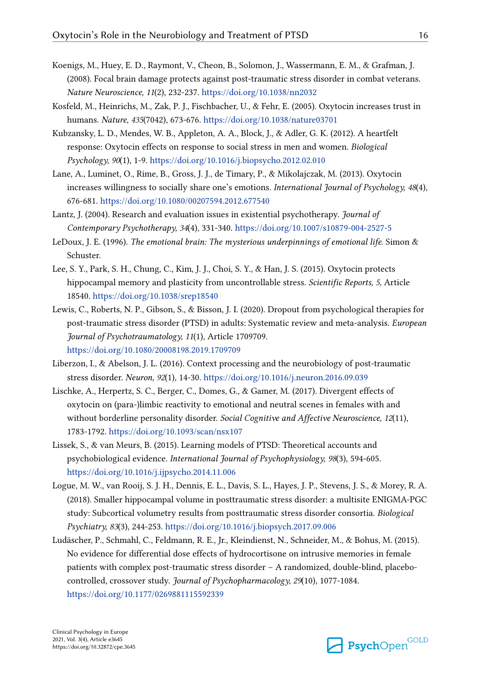- <span id="page-15-0"></span>Koenigs, M., Huey, E. D., Raymont, V., Cheon, B., Solomon, J., Wassermann, E. M., & Grafman, J. (2008). Focal brain damage protects against post-traumatic stress disorder in combat veterans. *Nature Neuroscience, 11*(2), 232-237.<https://doi.org/10.1038/nn2032>
- Kosfeld, M., Heinrichs, M., Zak, P. J., Fischbacher, U., & Fehr, E. (2005). Oxytocin increases trust in humans. *Nature, 435*(7042), 673-676.<https://doi.org/10.1038/nature03701>
- Kubzansky, L. D., Mendes, W. B., Appleton, A. A., Block, J., & Adler, G. K. (2012). A heartfelt response: Oxytocin effects on response to social stress in men and women. *Biological Psychology, 90*(1), 1-9. <https://doi.org/10.1016/j.biopsycho.2012.02.010>
- Lane, A., Luminet, O., Rime, B., Gross, J. J., de Timary, P., & Mikolajczak, M. (2013). Oxytocin increases willingness to socially share one's emotions. *International Journal of Psychology, 48*(4), 676-681. <https://doi.org/10.1080/00207594.2012.677540>
- Lantz, J. (2004). Research and evaluation issues in existential psychotherapy. *Journal of Contemporary Psychotherapy, 34*(4), 331-340. <https://doi.org/10.1007/s10879-004-2527-5>
- LeDoux, J. E. (1996). *The emotional brain: The mysterious underpinnings of emotional life.* Simon & Schuster.
- Lee, S. Y., Park, S. H., Chung, C., Kim, J. J., Choi, S. Y., & Han, J. S. (2015). Oxytocin protects hippocampal memory and plasticity from uncontrollable stress. *Scientific Reports, 5*, Article 18540.<https://doi.org/10.1038/srep18540>
- Lewis, C., Roberts, N. P., Gibson, S., & Bisson, J. I. (2020). Dropout from psychological therapies for post-traumatic stress disorder (PTSD) in adults: Systematic review and meta-analysis. *European Journal of Psychotraumatology, 11*(1), Article 1709709. <https://doi.org/10.1080/20008198.2019.1709709>
- Liberzon, I., & Abelson, J. L. (2016). Context processing and the neurobiology of post-traumatic stress disorder. *Neuron, 92*(1), 14-30.<https://doi.org/10.1016/j.neuron.2016.09.039>
- Lischke, A., Herpertz, S. C., Berger, C., Domes, G., & Gamer, M. (2017). Divergent effects of oxytocin on (para-)limbic reactivity to emotional and neutral scenes in females with and without borderline personality disorder. *Social Cognitive and Affective Neuroscience, 12*(11), 1783-1792. <https://doi.org/10.1093/scan/nsx107>
- Lissek, S., & van Meurs, B. (2015). Learning models of PTSD: Theoretical accounts and psychobiological evidence. *International Journal of Psychophysiology, 98*(3), 594-605. <https://doi.org/10.1016/j.ijpsycho.2014.11.006>
- Logue, M. W., van Rooij, S. J. H., Dennis, E. L., Davis, S. L., Hayes, J. P., Stevens, J. S., & Morey, R. A. (2018). Smaller hippocampal volume in posttraumatic stress disorder: a multisite ENIGMA-PGC study: Subcortical volumetry results from posttraumatic stress disorder consortia. *Biological Psychiatry, 83*(3), 244-253. <https://doi.org/10.1016/j.biopsych.2017.09.006>
- Ludäscher, P., Schmahl, C., Feldmann, R. E., Jr., Kleindienst, N., Schneider, M., & Bohus, M. (2015). No evidence for differential dose effects of hydrocortisone on intrusive memories in female patients with complex post-traumatic stress disorder – A randomized, double-blind, placebocontrolled, crossover study. *Journal of Psychopharmacology, 29*(10), 1077-1084. <https://doi.org/10.1177/0269881115592339>

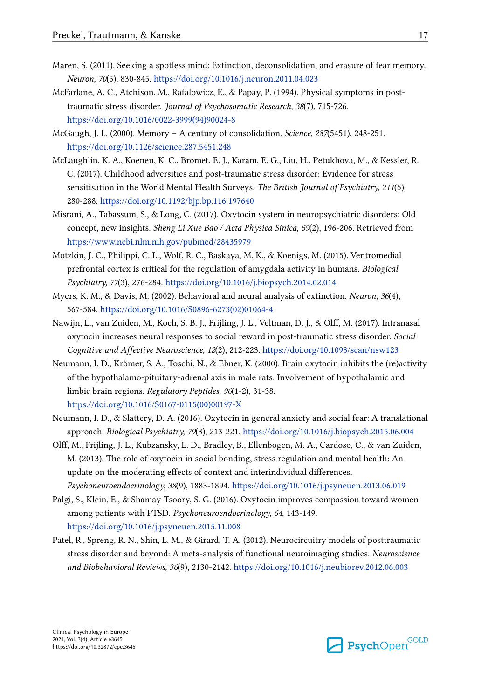- <span id="page-16-0"></span>Maren, S. (2011). Seeking a spotless mind: Extinction, deconsolidation, and erasure of fear memory. *Neuron, 70*(5), 830-845. <https://doi.org/10.1016/j.neuron.2011.04.023>
- McFarlane, A. C., Atchison, M., Rafalowicz, E., & Papay, P. (1994). Physical symptoms in posttraumatic stress disorder. *Journal of Psychosomatic Research, 38*(7), 715-726. [https://doi.org/10.1016/0022-3999\(94\)90024-8](https://doi.org/10.1016/0022-3999(94)90024-8)
- McGaugh, J. L. (2000). Memory A century of consolidation. *Science, 287*(5451), 248-251. <https://doi.org/10.1126/science.287.5451.248>
- McLaughlin, K. A., Koenen, K. C., Bromet, E. J., Karam, E. G., Liu, H., Petukhova, M., & Kessler, R. C. (2017). Childhood adversities and post-traumatic stress disorder: Evidence for stress sensitisation in the World Mental Health Surveys. *The British Journal of Psychiatry, 211*(5), 280-288. <https://doi.org/10.1192/bjp.bp.116.197640>
- Misrani, A., Tabassum, S., & Long, C. (2017). Oxytocin system in neuropsychiatric disorders: Old concept, new insights. *Sheng Li Xue Bao / Acta Physica Sinica, 69*(2), 196-206. Retrieved from <https://www.ncbi.nlm.nih.gov/pubmed/28435979>
- Motzkin, J. C., Philippi, C. L., Wolf, R. C., Baskaya, M. K., & Koenigs, M. (2015). Ventromedial prefrontal cortex is critical for the regulation of amygdala activity in humans. *Biological Psychiatry, 77*(3), 276-284. <https://doi.org/10.1016/j.biopsych.2014.02.014>
- Myers, K. M., & Davis, M. (2002). Behavioral and neural analysis of extinction. *Neuron, 36*(4), 567-584. [https://doi.org/10.1016/S0896-6273\(02\)01064-4](https://doi.org/10.1016/S0896-6273(02)01064-4)
- Nawijn, L., van Zuiden, M., Koch, S. B. J., Frijling, J. L., Veltman, D. J., & Olff, M. (2017). Intranasal oxytocin increases neural responses to social reward in post-traumatic stress disorder. *Social Cognitive and Affective Neuroscience, 12*(2), 212-223. <https://doi.org/10.1093/scan/nsw123>
- Neumann, I. D., Krömer, S. A., Toschi, N., & Ebner, K. (2000). Brain oxytocin inhibits the (re)activity of the hypothalamo-pituitary-adrenal axis in male rats: Involvement of hypothalamic and limbic brain regions. *Regulatory Peptides, 96*(1-2), 31-38. [https://doi.org/10.1016/S0167-0115\(00\)00197-X](https://doi.org/10.1016/S0167-0115(00)00197-X)
- Neumann, I. D., & Slattery, D. A. (2016). Oxytocin in general anxiety and social fear: A translational approach. *Biological Psychiatry, 79*(3), 213-221.<https://doi.org/10.1016/j.biopsych.2015.06.004>
- Olff, M., Frijling, J. L., Kubzansky, L. D., Bradley, B., Ellenbogen, M. A., Cardoso, C., & van Zuiden, M. (2013). The role of oxytocin in social bonding, stress regulation and mental health: An update on the moderating effects of context and interindividual differences. *Psychoneuroendocrinology, 38*(9), 1883-1894. <https://doi.org/10.1016/j.psyneuen.2013.06.019>
- Palgi, S., Klein, E., & Shamay-Tsoory, S. G. (2016). Oxytocin improves compassion toward women among patients with PTSD. *Psychoneuroendocrinology, 64*, 143-149. <https://doi.org/10.1016/j.psyneuen.2015.11.008>
- Patel, R., Spreng, R. N., Shin, L. M., & Girard, T. A. (2012). Neurocircuitry models of posttraumatic stress disorder and beyond: A meta-analysis of functional neuroimaging studies. *Neuroscience and Biobehavioral Reviews, 36*(9), 2130-2142.<https://doi.org/10.1016/j.neubiorev.2012.06.003>

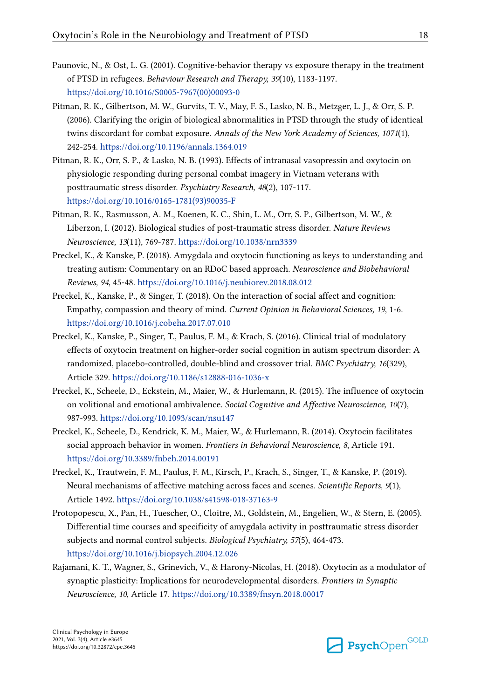- <span id="page-17-0"></span>Paunovic, N., & Ost, L. G. (2001). Cognitive-behavior therapy vs exposure therapy in the treatment of PTSD in refugees. *Behaviour Research and Therapy, 39*(10), 1183-1197. [https://doi.org/10.1016/S0005-7967\(00\)00093-0](https://doi.org/10.1016/S0005-7967(00)00093-0)
- Pitman, R. K., Gilbertson, M. W., Gurvits, T. V., May, F. S., Lasko, N. B., Metzger, L. J., & Orr, S. P. (2006). Clarifying the origin of biological abnormalities in PTSD through the study of identical twins discordant for combat exposure. *Annals of the New York Academy of Sciences, 1071*(1), 242-254. <https://doi.org/10.1196/annals.1364.019>
- Pitman, R. K., Orr, S. P., & Lasko, N. B. (1993). Effects of intranasal vasopressin and oxytocin on physiologic responding during personal combat imagery in Vietnam veterans with posttraumatic stress disorder. *Psychiatry Research, 48*(2), 107-117. [https://doi.org/10.1016/0165-1781\(93\)90035-F](https://doi.org/10.1016/0165-1781(93)90035-F)
- Pitman, R. K., Rasmusson, A. M., Koenen, K. C., Shin, L. M., Orr, S. P., Gilbertson, M. W., & Liberzon, I. (2012). Biological studies of post-traumatic stress disorder. *Nature Reviews Neuroscience, 13*(11), 769-787. <https://doi.org/10.1038/nrn3339>
- Preckel, K., & Kanske, P. (2018). Amygdala and oxytocin functioning as keys to understanding and treating autism: Commentary on an RDoC based approach. *Neuroscience and Biobehavioral Reviews, 94*, 45-48. <https://doi.org/10.1016/j.neubiorev.2018.08.012>
- Preckel, K., Kanske, P., & Singer, T. (2018). On the interaction of social affect and cognition: Empathy, compassion and theory of mind. *Current Opinion in Behavioral Sciences, 19*, 1-6. <https://doi.org/10.1016/j.cobeha.2017.07.010>
- Preckel, K., Kanske, P., Singer, T., Paulus, F. M., & Krach, S. (2016). Clinical trial of modulatory effects of oxytocin treatment on higher-order social cognition in autism spectrum disorder: A randomized, placebo-controlled, double-blind and crossover trial. *BMC Psychiatry, 16*(329), Article 329.<https://doi.org/10.1186/s12888-016-1036-x>
- Preckel, K., Scheele, D., Eckstein, M., Maier, W., & Hurlemann, R. (2015). The influence of oxytocin on volitional and emotional ambivalence. *Social Cognitive and Affective Neuroscience, 10*(7), 987-993. <https://doi.org/10.1093/scan/nsu147>
- Preckel, K., Scheele, D., Kendrick, K. M., Maier, W., & Hurlemann, R. (2014). Oxytocin facilitates social approach behavior in women. *Frontiers in Behavioral Neuroscience, 8*, Article 191. <https://doi.org/10.3389/fnbeh.2014.00191>
- Preckel, K., Trautwein, F. M., Paulus, F. M., Kirsch, P., Krach, S., Singer, T., & Kanske, P. (2019). Neural mechanisms of affective matching across faces and scenes. *Scientific Reports, 9*(1), Article 1492. <https://doi.org/10.1038/s41598-018-37163-9>
- Protopopescu, X., Pan, H., Tuescher, O., Cloitre, M., Goldstein, M., Engelien, W., & Stern, E. (2005). Differential time courses and specificity of amygdala activity in posttraumatic stress disorder subjects and normal control subjects. *Biological Psychiatry, 57*(5), 464-473. <https://doi.org/10.1016/j.biopsych.2004.12.026>
- Rajamani, K. T., Wagner, S., Grinevich, V., & Harony-Nicolas, H. (2018). Oxytocin as a modulator of synaptic plasticity: Implications for neurodevelopmental disorders. *Frontiers in Synaptic Neuroscience, 10*, Article 17. <https://doi.org/10.3389/fnsyn.2018.00017>

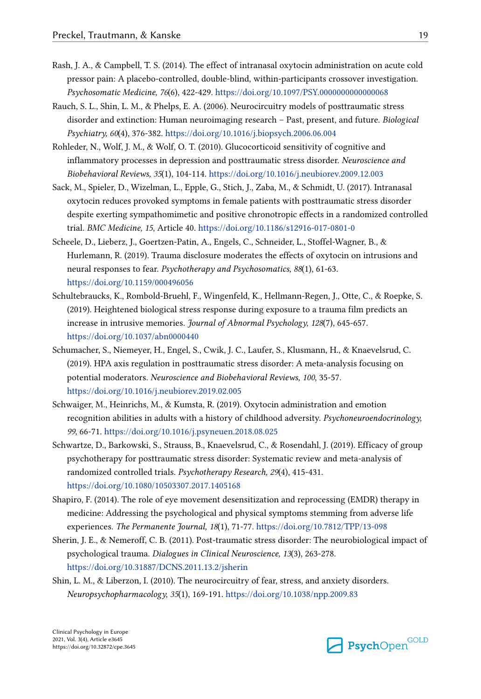- <span id="page-18-0"></span>Rash, J. A., & Campbell, T. S. (2014). The effect of intranasal oxytocin administration on acute cold pressor pain: A placebo-controlled, double-blind, within-participants crossover investigation. *Psychosomatic Medicine, 76*(6), 422-429.<https://doi.org/10.1097/PSY.0000000000000068>
- Rauch, S. L., Shin, L. M., & Phelps, E. A. (2006). Neurocircuitry models of posttraumatic stress disorder and extinction: Human neuroimaging research – Past, present, and future. *Biological Psychiatry, 60*(4), 376-382. <https://doi.org/10.1016/j.biopsych.2006.06.004>
- Rohleder, N., Wolf, J. M., & Wolf, O. T. (2010). Glucocorticoid sensitivity of cognitive and inflammatory processes in depression and posttraumatic stress disorder. *Neuroscience and Biobehavioral Reviews, 35*(1), 104-114.<https://doi.org/10.1016/j.neubiorev.2009.12.003>
- Sack, M., Spieler, D., Wizelman, L., Epple, G., Stich, J., Zaba, M., & Schmidt, U. (2017). Intranasal oxytocin reduces provoked symptoms in female patients with posttraumatic stress disorder despite exerting sympathomimetic and positive chronotropic effects in a randomized controlled trial. *BMC Medicine, 15*, Article 40. <https://doi.org/10.1186/s12916-017-0801-0>
- Scheele, D., Lieberz, J., Goertzen-Patin, A., Engels, C., Schneider, L., Stoffel-Wagner, B., & Hurlemann, R. (2019). Trauma disclosure moderates the effects of oxytocin on intrusions and neural responses to fear. *Psychotherapy and Psychosomatics, 88*(1), 61-63. <https://doi.org/10.1159/000496056>
- Schultebraucks, K., Rombold-Bruehl, F., Wingenfeld, K., Hellmann-Regen, J., Otte, C., & Roepke, S. (2019). Heightened biological stress response during exposure to a trauma film predicts an increase in intrusive memories. *Journal of Abnormal Psychology, 128*(7), 645-657. <https://doi.org/10.1037/abn0000440>
- Schumacher, S., Niemeyer, H., Engel, S., Cwik, J. C., Laufer, S., Klusmann, H., & Knaevelsrud, C. (2019). HPA axis regulation in posttraumatic stress disorder: A meta-analysis focusing on potential moderators. *Neuroscience and Biobehavioral Reviews, 100*, 35-57. <https://doi.org/10.1016/j.neubiorev.2019.02.005>
- Schwaiger, M., Heinrichs, M., & Kumsta, R. (2019). Oxytocin administration and emotion recognition abilities in adults with a history of childhood adversity. *Psychoneuroendocrinology, 99*, 66-71.<https://doi.org/10.1016/j.psyneuen.2018.08.025>
- Schwartze, D., Barkowski, S., Strauss, B., Knaevelsrud, C., & Rosendahl, J. (2019). Efficacy of group psychotherapy for posttraumatic stress disorder: Systematic review and meta-analysis of randomized controlled trials. *Psychotherapy Research, 29*(4), 415-431. <https://doi.org/10.1080/10503307.2017.1405168>
- Shapiro, F. (2014). The role of eye movement desensitization and reprocessing (EMDR) therapy in medicine: Addressing the psychological and physical symptoms stemming from adverse life experiences. *The Permanente Journal, 18*(1), 71-77.<https://doi.org/10.7812/TPP/13-098>
- Sherin, J. E., & Nemeroff, C. B. (2011). Post-traumatic stress disorder: The neurobiological impact of psychological trauma. *Dialogues in Clinical Neuroscience, 13*(3), 263-278. <https://doi.org/10.31887/DCNS.2011.13.2/jsherin>
- Shin, L. M., & Liberzon, I. (2010). The neurocircuitry of fear, stress, and anxiety disorders. *Neuropsychopharmacology, 35*(1), 169-191. <https://doi.org/10.1038/npp.2009.83>

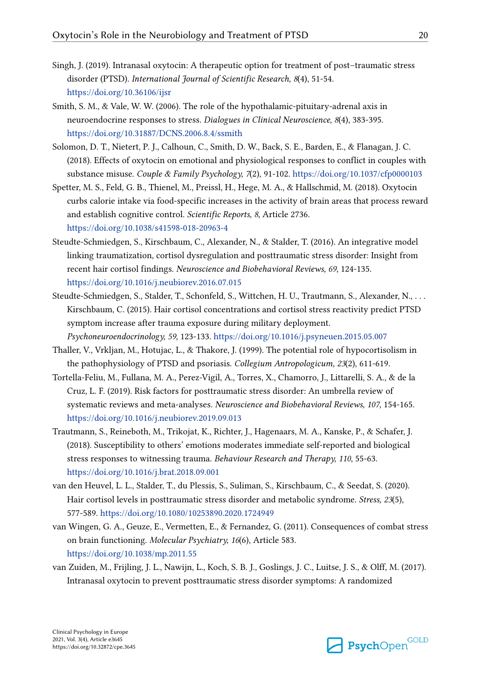- <span id="page-19-0"></span>Singh, J. (2019). Intranasal oxytocin: A therapeutic option for treatment of post–traumatic stress disorder (PTSD). *International Journal of Scientific Research, 8*(4), 51-54. <https://doi.org/10.36106/ijsr>
- Smith, S. M., & Vale, W. W. (2006). The role of the hypothalamic-pituitary-adrenal axis in neuroendocrine responses to stress. *Dialogues in Clinical Neuroscience, 8*(4), 383-395. <https://doi.org/10.31887/DCNS.2006.8.4/ssmith>
- Solomon, D. T., Nietert, P. J., Calhoun, C., Smith, D. W., Back, S. E., Barden, E., & Flanagan, J. C. (2018). Effects of oxytocin on emotional and physiological responses to conflict in couples with substance misuse. *Couple & Family Psychology, 7*(2), 91-102. <https://doi.org/10.1037/cfp0000103>
- Spetter, M. S., Feld, G. B., Thienel, M., Preissl, H., Hege, M. A., & Hallschmid, M. (2018). Oxytocin curbs calorie intake via food-specific increases in the activity of brain areas that process reward and establish cognitive control. *Scientific Reports, 8*, Article 2736. <https://doi.org/10.1038/s41598-018-20963-4>
- Steudte-Schmiedgen, S., Kirschbaum, C., Alexander, N., & Stalder, T. (2016). An integrative model linking traumatization, cortisol dysregulation and posttraumatic stress disorder: Insight from recent hair cortisol findings. *Neuroscience and Biobehavioral Reviews, 69*, 124-135. <https://doi.org/10.1016/j.neubiorev.2016.07.015>
- Steudte-Schmiedgen, S., Stalder, T., Schonfeld, S., Wittchen, H. U., Trautmann, S., Alexander, N., . . . Kirschbaum, C. (2015). Hair cortisol concentrations and cortisol stress reactivity predict PTSD symptom increase after trauma exposure during military deployment. *Psychoneuroendocrinology, 59*, 123-133. <https://doi.org/10.1016/j.psyneuen.2015.05.007>
- Thaller, V., Vrkljan, M., Hotujac, L., & Thakore, J. (1999). The potential role of hypocortisolism in the pathophysiology of PTSD and psoriasis. *Collegium Antropologicum, 23*(2), 611-619.
- Tortella-Feliu, M., Fullana, M. A., Perez-Vigil, A., Torres, X., Chamorro, J., Littarelli, S. A., & de la Cruz, L. F. (2019). Risk factors for posttraumatic stress disorder: An umbrella review of systematic reviews and meta-analyses. *Neuroscience and Biobehavioral Reviews, 107*, 154-165. <https://doi.org/10.1016/j.neubiorev.2019.09.013>
- Trautmann, S., Reineboth, M., Trikojat, K., Richter, J., Hagenaars, M. A., Kanske, P., & Schafer, J. (2018). Susceptibility to others' emotions moderates immediate self-reported and biological stress responses to witnessing trauma. *Behaviour Research and Therapy, 110*, 55-63. <https://doi.org/10.1016/j.brat.2018.09.001>
- van den Heuvel, L. L., Stalder, T., du Plessis, S., Suliman, S., Kirschbaum, C., & Seedat, S. (2020). Hair cortisol levels in posttraumatic stress disorder and metabolic syndrome. *Stress, 23*(5), 577-589. <https://doi.org/10.1080/10253890.2020.1724949>
- van Wingen, G. A., Geuze, E., Vermetten, E., & Fernandez, G. (2011). Consequences of combat stress on brain functioning. *Molecular Psychiatry, 16*(6), Article 583. <https://doi.org/10.1038/mp.2011.55>
- van Zuiden, M., Frijling, J. L., Nawijn, L., Koch, S. B. J., Goslings, J. C., Luitse, J. S., & Olff, M. (2017). Intranasal oxytocin to prevent posttraumatic stress disorder symptoms: A randomized